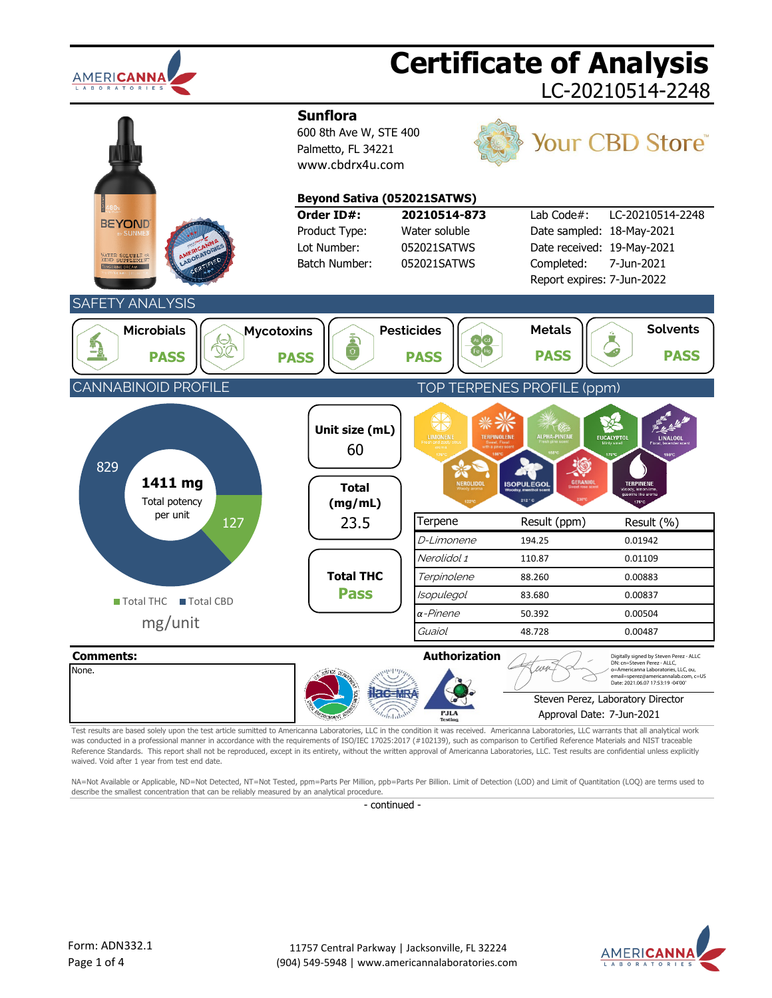

was conducted in a professional manner in accordance with the requirements of ISO/IEC 17025:2017 (#102139), such as comparison to Certified Reference Materials and NIST traceable Reference Standards. This report shall not be reproduced, except in its entirety, without the written approval of Americanna Laboratories, LLC. Test results are confidential unless explicitly waived. Void after 1 year from test end date.

NA=Not Available or Applicable, ND=Not Detected, NT=Not Tested, ppm=Parts Per Million, ppb=Parts Per Billion. Limit of Detection (LOD) and Limit of Quantitation (LOQ) are terms used to describe the smallest concentration that can be reliably measured by an analytical procedure.

- continued -

![](_page_0_Picture_4.jpeg)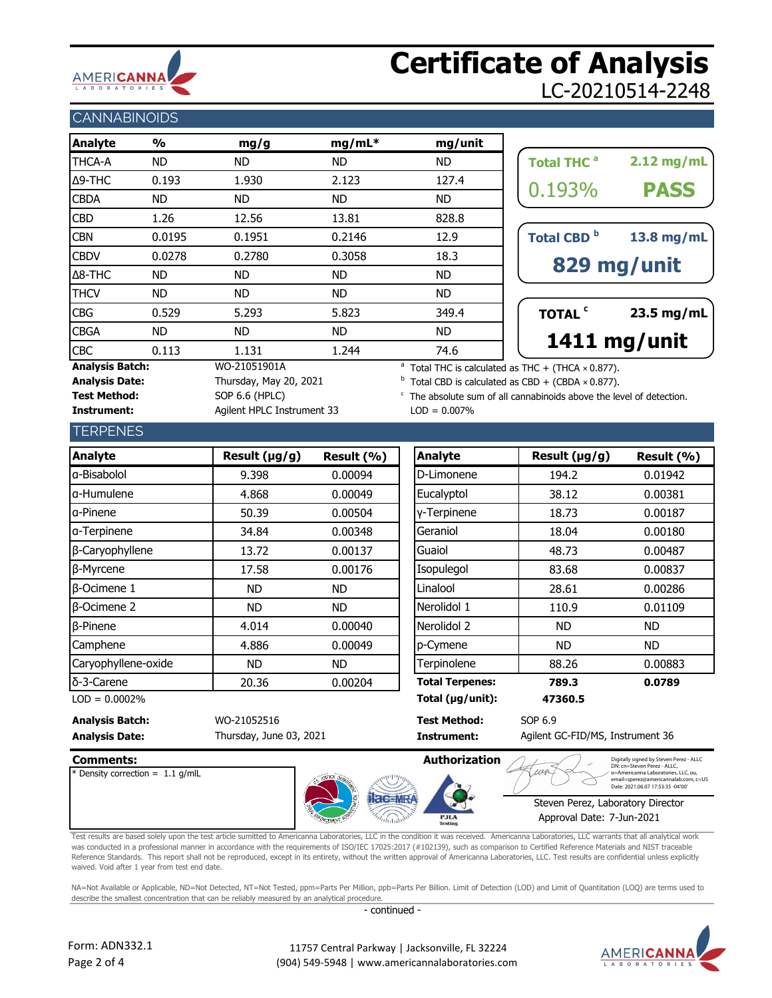![](_page_1_Picture_0.jpeg)

# **Certificate of Analysis** LC-20210514-2248

## **CANNABINOIDS**

| Analyte                | $\frac{0}{0}$ | mg/g                       | $mg/mL*$ | mg/unit                                                                         |                              |              |  |
|------------------------|---------------|----------------------------|----------|---------------------------------------------------------------------------------|------------------------------|--------------|--|
| <b>THCA-A</b>          | ND.           | ND.                        | ND.      | <b>ND</b>                                                                       | <b>Total THC<sup>a</sup></b> | $2.12$ mg/mL |  |
| Δ9-THC                 | 0.193         | 1.930                      | 2.123    | 127.4                                                                           |                              |              |  |
| <b>CBDA</b>            | ND.           | ND.                        | ND.      | ND.                                                                             | 0.193%                       |              |  |
| <b>CBD</b>             | 1.26          | 12.56                      | 13.81    | 828.8                                                                           |                              |              |  |
| <b>CBN</b>             | 0.0195        | 0.1951                     | 0.2146   | 12.9                                                                            | Total CBD <sup>b</sup>       |              |  |
| <b>CBDV</b>            | 0.0278        | 0.2780                     | 0.3058   | 18.3                                                                            |                              |              |  |
| $\Delta$ 8-THC         | ND.           | ND.                        | ND.      | ND.                                                                             | 829 mg/unit                  |              |  |
| <b>THCV</b>            | ND.           | ND.                        | ND.      | ND.                                                                             |                              |              |  |
| <b>CBG</b>             | 0.529         | 5.293                      | 5.823    | 349.4                                                                           | <b>TOTAL<sup>c</sup></b>     |              |  |
| <b>CBGA</b>            | ND.           | ND.                        | ND.      | ND.                                                                             |                              |              |  |
| <b>CBC</b>             | 0.113         | 1.131                      | 1.244    | 74.6                                                                            | 1411 mg/unit                 |              |  |
| <b>Analysis Batch:</b> |               | WO-21051901A               |          | <sup>a</sup> Total THC is calculated as THC + (THCA $\times$ 0.877).            |                              |              |  |
| <b>Analysis Date:</b>  |               | Thursday, May 20, 2021     |          | $b$ Total CBD is calculated as CBD + (CBDA $\times$ 0.877).                     |                              |              |  |
| <b>Test Method:</b>    |               | SOP 6.6 (HPLC)             |          | <sup>c</sup> The absolute sum of all cannabinoids above the level of detection. |                              |              |  |
| Instrument:            |               | Agilent HPLC Instrument 33 |          | $LOD = 0.007\%$                                                                 |                              |              |  |

| TOTAL <sup>c</sup><br>23.5 mg/mL<br>1411 mg/unit |  |  |  |  |  |  |
|--------------------------------------------------|--|--|--|--|--|--|
|                                                  |  |  |  |  |  |  |
| 829 mg/unit                                      |  |  |  |  |  |  |
| 13.8 mg/mL                                       |  |  |  |  |  |  |
| <b>PASS</b>                                      |  |  |  |  |  |  |
| $2.12$ mg/mL                                     |  |  |  |  |  |  |
|                                                  |  |  |  |  |  |  |

## **TERPENES**

| <b>Analyte</b>         | Result $(\mu g/g)$ | Result (%) | Analyte                | Result (µg/g) |
|------------------------|--------------------|------------|------------------------|---------------|
| a-Bisabolol            | 9.398              | 0.00094    | D-Limonene             | 194.2         |
| a-Humulene             | 4.868              | 0.00049    | Eucalyptol             | 38.12         |
| la-Pinene              | 50.39              | 0.00504    | y-Terpinene            | 18.73         |
| a-Terpinene            | 34.84              | 0.00348    | Geraniol               | 18.04         |
| $\beta$ -Caryophyllene | 13.72              | 0.00137    | Guaiol                 | 48.73         |
| β-Myrcene              | 17.58              | 0.00176    | Isopulegol             | 83.68         |
| $\beta$ -Ocimene 1     | ND.                | ND.        | Linalool               | 28.61         |
| $\beta$ -Ocimene 2     | ND                 | ND.        | Nerolidol 1            | 110.9         |
| β-Pinene               | 4.014              | 0.00040    | Nerolidol 2            | <b>ND</b>     |
| Camphene               | 4.886              | 0.00049    | p-Cymene               | <b>ND</b>     |
| Caryophyllene-oxide    | ND.                | ND.        | Terpinolene            | 88.26         |
| δ-3-Carene             | 20.36              | 0.00204    | <b>Total Terpenes:</b> | 789.3         |
| $LOD = 0.0002\%$       |                    |            | Total (µg/unit):       | 47360.5       |

| sult (µg/g) | Result (%) | <b>Analyte</b>         | Result $(\mu g/g)$ | Result (%) |
|-------------|------------|------------------------|--------------------|------------|
| 9.398       | 0.00094    | D-Limonene             | 194.2              | 0.01942    |
| 4.868       | 0.00049    | Eucalyptol             | 38.12              | 0.00381    |
| 50.39       | 0.00504    | y-Terpinene            | 18.73              | 0.00187    |
| 34.84       | 0.00348    | Geraniol               | 18.04              | 0.00180    |
| 13.72       | 0.00137    | Guaiol                 | 48.73              | 0.00487    |
| 17.58       | 0.00176    | Isopulegol             | 83.68              | 0.00837    |
| ND.         | ND.        | Linalool               | 28.61              | 0.00286    |
| <b>ND</b>   | ND.        | Nerolidol 1            | 110.9              | 0.01109    |
| 4.014       | 0.00040    | Nerolidol 2            | <b>ND</b>          | <b>ND</b>  |
| 4.886       | 0.00049    | p-Cymene               | <b>ND</b>          | <b>ND</b>  |
| ND.         | ND.        | Terpinolene            | 88.26              | 0.00883    |
| 20.36       | 0.00204    | <b>Total Terpenes:</b> | 789.3              | 0.0789     |
|             |            | Total $(\mu g/$ unit): | 47360.5            |            |
|             |            |                        |                    |            |

w

**Analysis Batch:** WO-21052516 **Test Method:** SOP 6.9 Analysis Date: Thursday, June 03, 2021 **Instrument:** 

Agilent GC-FID/MS, Instrument 36

#### **Comments: Authorization**

\* Density correction = 1.1 g/mlL

![](_page_1_Picture_15.jpeg)

Digitally signed by Steven Perez - ALLC DN: cn=Steven Perez - ALLC, o=Americanna Laboratories, LLC, ou, email=sperez@americannalab.com, c=US Date: 2021.06.07 17:53:35 -04'00'

#### Steven Perez, Laboratory Director Approval Date: 7-Jun-2021

Test results are based solely upon the test article sumitted to Americanna Laboratories, LLC in the condition it was received. Americanna Laboratories, LLC warrants that all analytical work was conducted in a professional manner in accordance with the requirements of ISO/IEC 17025:2017 (#102139), such as comparison to Certified Reference Materials and NIST traceable Reference Standards. This report shall not be reproduced, except in its entirety, without the written approval of Americanna Laboratories, LLC. Test results are confidential unless explicitly waived. Void after 1 year from test end date.

NA=Not Available or Applicable, ND=Not Detected, NT=Not Tested, ppm=Parts Per Million, ppb=Parts Per Billion. Limit of Detection (LOD) and Limit of Quantitation (LOQ) are terms used to describe the smallest concentration that can be reliably measured by an analytical procedure.

- continued -

![](_page_1_Picture_21.jpeg)

 11757 Central Parkway | Jacksonville, FL 32224 (904) 549-5948 | www.americannalaboratories.com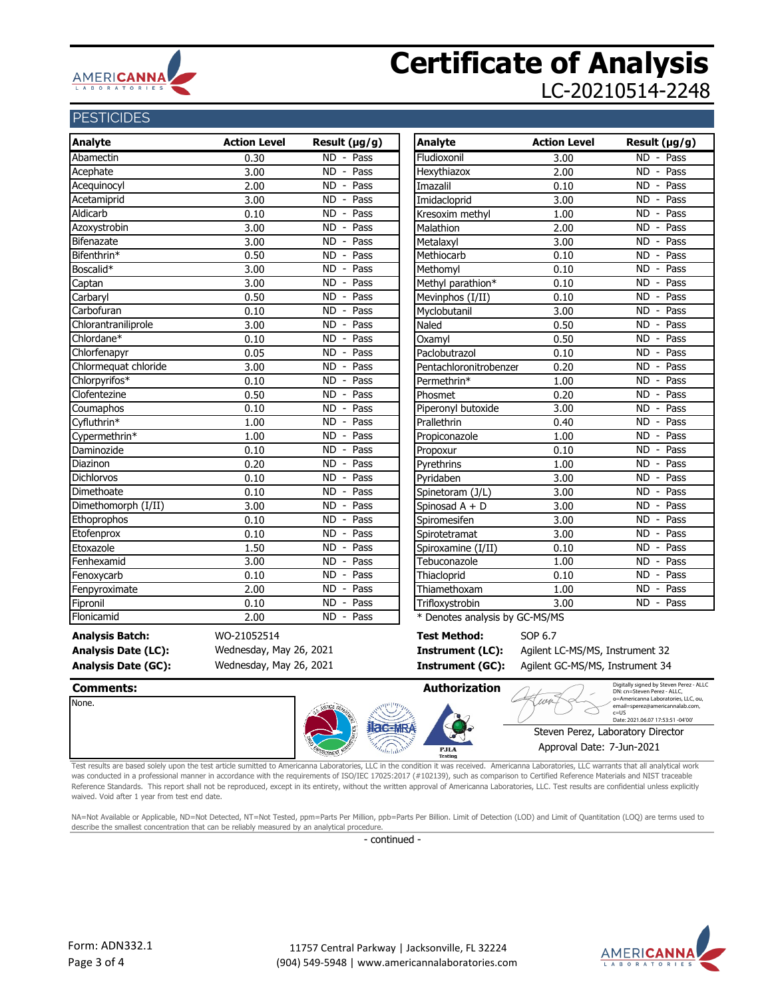![](_page_2_Picture_0.jpeg)

## **Certificate of Analysis** LC-20210514-2248

### **PESTICIDES**

| <b>Action Level</b> | Result $(\mu g/g)$                      | Analyte                                                    | <b>Action Level</b>             | Result $(\mu g/g)$                      |
|---------------------|-----------------------------------------|------------------------------------------------------------|---------------------------------|-----------------------------------------|
| 0.30                | ND.<br>- Pass                           | Fludioxonil                                                | 3.00                            | <b>ND</b><br>- Pass                     |
| 3.00                | Pass<br><b>ND</b><br>$\blacksquare$     | Hexythiazox                                                | 2.00                            | <b>ND</b><br>- Pass                     |
| 2.00                | Pass<br>ND -                            | Imazalil                                                   | 0.10                            | ND - Pass                               |
| 3.00                | <b>ND</b><br>Pass<br>$\sim$             | Imidacloprid                                               | 3.00                            | <b>ND</b><br>- Pass                     |
| 0.10                | Pass<br><b>ND</b><br>$\blacksquare$     | Kresoxim methyl                                            | 1.00                            | <b>ND</b><br>Pass<br>$\sim$             |
| 3.00                | Pass<br>ND.<br>$\sim$                   | Malathion                                                  | 2.00                            | ND.<br>Pass<br>$\overline{\phantom{a}}$ |
| 3.00                | ND.<br>Pass<br>$\blacksquare$           | Metalaxyl                                                  | 3.00                            | - Pass<br>ND.                           |
| 0.50                | Pass<br>ND -                            | Methiocarb                                                 | 0.10                            | <b>ND</b><br>- Pass                     |
| 3.00                | Pass<br>ND -                            | Methomyl                                                   | 0.10                            | ND.<br>- Pass                           |
| 3.00                | Pass<br><b>ND</b><br>$\blacksquare$     | Methyl parathion*                                          | 0.10                            | Pass<br>ND.<br>$\sim$                   |
| 0.50                | Pass<br>$ND -$                          | Mevinphos (I/II)                                           | 0.10                            | ND - Pass                               |
| 0.10                | Pass<br>ND.<br>$\overline{\phantom{a}}$ | Myclobutanil                                               | 3.00                            | ND.<br>Pass<br>$\overline{\phantom{a}}$ |
| 3.00                | $N\overline{D}$<br>Pass<br>$\sim$       | Naled                                                      | 0.50                            | Pass<br>ND.<br>$\sim$                   |
| 0.10                | ND -<br>Pass                            | Oxamyl                                                     | 0.50                            | ND - Pass                               |
| 0.05                | Pass<br>ND.<br>$\blacksquare$           | Paclobutrazol                                              | 0.10                            | Pass<br>ND.<br>$\overline{\phantom{a}}$ |
| 3.00                | ND.<br>Pass<br>$\sim$                   | Pentachloronitrobenzer                                     | 0.20                            | ND.<br>Pass<br>$\overline{\phantom{a}}$ |
| 0.10                | ND -<br>Pass                            | Permethrin*                                                | 1.00                            | <b>ND</b><br>- Pass                     |
| 0.50                | Pass<br>ND.<br>$\blacksquare$           | Phosmet                                                    | 0.20                            | - Pass<br>ND.                           |
| 0.10                | <b>ND</b><br>Pass<br>$\blacksquare$     | Piperonyl butoxide                                         | 3.00                            | ND.<br>Pass<br>$\blacksquare$           |
| 1.00                | Pass<br>ND -                            | Prallethrin                                                | 0.40                            | - Pass<br>ND.                           |
| 1.00                | Pass<br><b>ND</b><br>$\sim$             | Propiconazole                                              | 1.00                            | - Pass<br><b>ND</b>                     |
| 0.10                | ND - Pass                               | Propoxur                                                   | 0.10                            | - Pass<br>ND.                           |
| 0.20                | <b>ND</b><br>Pass<br>$\blacksquare$     | Pyrethrins                                                 | 1.00                            | <b>ND</b><br>Pass<br>$\blacksquare$     |
| 0.10                | Pass<br><b>ND</b><br>$\blacksquare$     | Pyridaben                                                  | 3.00                            | Pass<br>ND.<br>$\overline{\phantom{a}}$ |
| 0.10                | Pass<br>ND -                            | Spinetoram (J/L)                                           | 3.00                            | ND.<br>- Pass                           |
| 3.00                | Pass<br>ND.<br>$\blacksquare$           | Spinosad $A + D$                                           | 3.00                            | - Pass<br>ND.                           |
| 0.10                | Pass<br>ND.<br>$\sim$                   | Spiromesifen                                               | 3.00                            | Pass<br>ND.<br>$\sim$                   |
| 0.10                | <b>ND</b><br>Pass<br>$\sim$             | Spirotetramat                                              | 3.00                            | - Pass<br>ND.                           |
| 1.50                | <b>ND</b><br>Pass<br>$\blacksquare$     | Spiroxamine (I/II)                                         | 0.10                            | Pass<br>ND.<br>$\overline{\phantom{a}}$ |
| 3.00                | <b>ND</b><br>Pass<br>$\blacksquare$     | Tebuconazole                                               | 1.00                            | Pass<br>ND.<br>$\sim$                   |
| 0.10                | Pass<br>ND -                            | Thiacloprid                                                | 0.10                            | ND - Pass                               |
| 2.00                | Pass<br>ND.<br>$\blacksquare$           | Thiamethoxam                                               | 1.00                            | - Pass<br>ND.                           |
| 0.10                | <b>ND</b><br>Pass<br>$\blacksquare$     | Trifloxystrobin                                            | 3.00                            | <b>ND</b><br>Pass<br>$\blacksquare$     |
| 2.00                | ND - Pass                               | * Denotes analysis by GC-MS/MS                             |                                 |                                         |
| WO-21052514         |                                         | <b>Test Method:</b>                                        | SOP 6.7                         |                                         |
|                     |                                         | <b>Instrument (LC):</b>                                    | Agilent LC-MS/MS, Instrument 32 |                                         |
|                     |                                         | <b>Instrument (GC):</b><br>Agilent GC-MS/MS, Instrument 34 |                                 |                                         |
|                     |                                         | Wednesday, May 26, 2021<br>Wednesday, May 26, 2021         | <b>Authorization</b>            | $\overline{\mathcal{L}}$                |

None.

|  | Authorization                 |                                   | DN: cn=Steven Perez - ALLC.<br>o=Americanna Laboratories, LLC, ou,<br>email=sperez@americannalab.com,<br>$c = US$ |
|--|-------------------------------|-----------------------------------|-------------------------------------------------------------------------------------------------------------------|
|  |                               | Steven Perez, Laboratory Director | Date: 2021.06.07 17:53:51 -04'00'                                                                                 |
|  | <b>PJLA</b><br><b>Testing</b> | Approval Date: 7-Jun-2021         |                                                                                                                   |

Test results are based solely upon the test article sumitted to Americanna Laboratories, LLC in the condition it was received. Americanna Laboratories, LLC warrants that all analytical work was conducted in a professional manner in accordance with the requirements of ISO/IEC 17025:2017 (#102139), such as comparison to Certified Reference Materials and NIST traceable Reference Standards. This report shall not be reproduced, except in its entirety, without the written approval of Americanna Laboratories, LLC. Test results are confidential unless explicitly waived. Void after 1 year from test end date.

NA=Not Available or Applicable, ND=Not Detected, NT=Not Tested, ppm=Parts Per Million, ppb=Parts Per Billion. Limit of Detection (LOD) and Limit of Quantitation (LOQ) are terms used to describe the smallest concentration that can be reliably measured by an analytical procedure.

- continued -

![](_page_2_Picture_11.jpeg)